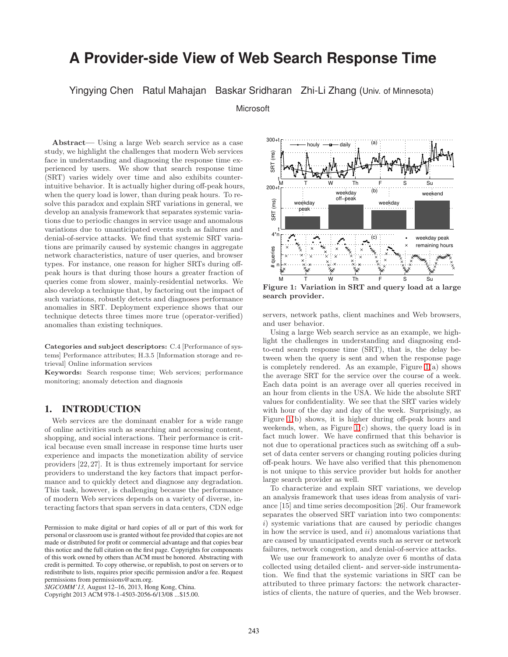# **A Provider-side View of Web Search Response Time**

Yingying Chen Ratul Mahajan Baskar Sridharan Zhi-Li Zhang (Univ. of Minnesota)

Microsoft

Abstract— Using a large Web search service as a case study, we highlight the challenges that modern Web services face in understanding and diagnosing the response time experienced by users. We show that search response time (SRT) varies widely over time and also exhibits counterintuitive behavior. It is actually higher during off-peak hours, when the query load is lower, than during peak hours. To resolve this paradox and explain SRT variations in general, we develop an analysis framework that separates systemic variations due to periodic changes in service usage and anomalous variations due to unanticipated events such as failures and denial-of-service attacks. We find that systemic SRT variations are primarily caused by systemic changes in aggregate network characteristics, nature of user queries, and browser types. For instance, one reason for higher SRTs during offpeak hours is that during those hours a greater fraction of queries come from slower, mainly-residential networks. We also develop a technique that, by factoring out the impact of such variations, robustly detects and diagnoses performance anomalies in SRT. Deployment experience shows that our technique detects three times more true (operator-verified) anomalies than existing techniques.

Categories and subject descriptors: C.4 [Performance of systems] Performance attributes; H.3.5 [Information storage and retrieval] Online information services

Keywords: Search response time; Web services; performance monitoring; anomaly detection and diagnosis

# **1. INTRODUCTION**

Web services are the dominant enabler for a wide range of online activities such as searching and accessing content, shopping, and social interactions. Their performance is critical because even small increase in response time hurts user experience and impacts the monetization ability of service providers [22, 27]. It is thus extremely important for service providers to understand the key factors that impact performance and to quickly detect and diagnose any degradation. This task, however, is challenging because the performance of modern Web services depends on a variety of diverse, interacting factors that span servers in data centers, CDN edge



<span id="page-0-0"></span>Figure 1: Variation in SRT and query load at a large search provider.

servers, network paths, client machines and Web browsers, and user behavior.

Using a large Web search service as an example, we highlight the challenges in understanding and diagnosing endto-end search response time (SRT), that is, the delay between when the query is sent and when the response page is completely rendered. As an example, Figure  $1(a)$  shows the average SRT for the service over the course of a week. Each data point is an average over all queries received in an hour from clients in the USA. We hide the absolute SRT values for confidentiality. We see that the SRT varies widely with hour of the day and day of the week. Surprisingly, as Figure [1\(](#page-0-0)b) shows, it is higher during off-peak hours and weekends, when, as Figure  $1(c)$  shows, the query load is in fact much lower. We have confirmed that this behavior is not due to operational practices such as switching off a subset of data center servers or changing routing policies during off-peak hours. We have also verified that this phenomenon is not unique to this service provider but holds for another large search provider as well.

To characterize and explain SRT variations, we develop an analysis framework that uses ideas from analysis of variance [15] and time series decomposition [26]. Our framework separates the observed SRT variation into two components: i) systemic variations that are caused by periodic changes in how the service is used, and  $ii)$  anomalous variations that are caused by unanticipated events such as server or network failures, network congestion, and denial-of-service attacks.

We use our framework to analyze over 6 months of data collected using detailed client- and server-side instrumentation. We find that the systemic variations in SRT can be attributed to three primary factors: the network characteristics of clients, the nature of queries, and the Web browser.

Permission to make digital or hard copies of all or part of this work for personal or classroom use is granted without fee provided that copies are not made or distributed for profit or commercial advantage and that copies bear this notice and the full citation on the first page. Copyrights for components of this work owned by others than ACM must be honored. Abstracting with credit is permitted. To copy otherwise, or republish, to post on servers or to redistribute to lists, requires prior specific permission and/or a fee. Request permissions from permissions@acm.org.

*SIGCOMM'13,* August 12–16, 2013, Hong Kong, China.

Copyright 2013 ACM 978-1-4503-2056-6/13/08 ...\$15.00.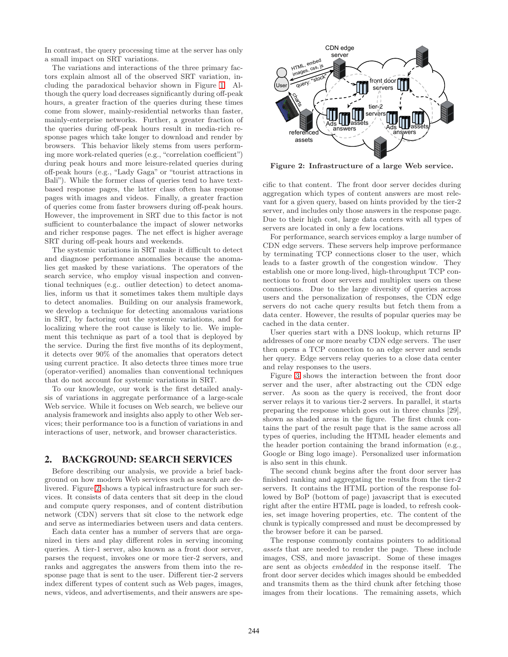In contrast, the query processing time at the server has only a small impact on SRT variations.

The variations and interactions of the three primary factors explain almost all of the observed SRT variation, including the paradoxical behavior shown in Figure [1.](#page-0-0) Although the query load decreases significantly during off-peak hours, a greater fraction of the queries during these times come from slower, mainly-residential networks than faster, mainly-enterprise networks. Further, a greater fraction of the queries during off-peak hours result in media-rich response pages which take longer to download and render by browsers. This behavior likely stems from users performing more work-related queries (e.g., "correlation coefficient") during peak hours and more leisure-related queries during off-peak hours (e.g., "Lady Gaga" or "tourist attractions in Bali"). While the former class of queries tend to have textbased response pages, the latter class often has response pages with images and videos. Finally, a greater fraction of queries come from faster browsers during off-peak hours. However, the improvement in SRT due to this factor is not sufficient to counterbalance the impact of slower networks and richer response pages. The net effect is higher average SRT during off-peak hours and weekends.

The systemic variations in SRT make it difficult to detect and diagnose performance anomalies because the anomalies get masked by these variations. The operators of the search service, who employ visual inspection and conventional techniques (e.g.. outlier detection) to detect anomalies, inform us that it sometimes takes them multiple days to detect anomalies. Building on our analysis framework, we develop a technique for detecting anomalous variations in SRT, by factoring out the systemic variations, and for localizing where the root cause is likely to lie. We implement this technique as part of a tool that is deployed by the service. During the first five months of its deployment, it detects over 90% of the anomalies that operators detect using current practice. It also detects three times more true (operator-verified) anomalies than conventional techniques that do not account for systemic variations in SRT.

To our knowledge, our work is the first detailed analysis of variations in aggregate performance of a large-scale Web service. While it focuses on Web search, we believe our analysis framework and insights also apply to other Web services; their performance too is a function of variations in and interactions of user, network, and browser characteristics.

# **2. BACKGROUND: SEARCH SERVICES**

Before describing our analysis, we provide a brief background on how modern Web services such as search are delivered. Figure [2](#page-1-0) shows a typical infrastructure for such services. It consists of data centers that sit deep in the cloud and compute query responses, and of content distribution network (CDN) servers that sit close to the network edge and serve as intermediaries between users and data centers.

Each data center has a number of servers that are organized in tiers and play different roles in serving incoming queries. A tier-1 server, also known as a front door server, parses the request, invokes one or more tier-2 servers, and ranks and aggregates the answers from them into the response page that is sent to the user. Different tier-2 servers index different types of content such as Web pages, images, news, videos, and advertisements, and their answers are spe-



<span id="page-1-0"></span>Figure 2: Infrastructure of a large Web service.

cific to that content. The front door server decides during aggregation which types of content answers are most relevant for a given query, based on hints provided by the tier-2 server, and includes only those answers in the response page. Due to their high cost, large data centers with all types of servers are located in only a few locations.

For performance, search services employ a large number of CDN edge servers. These servers help improve performance by terminating TCP connections closer to the user, which leads to a faster growth of the congestion window. They establish one or more long-lived, high-throughput TCP connections to front door servers and multiplex users on these connections. Due to the large diversity of queries across users and the personalization of responses, the CDN edge servers do not cache query results but fetch them from a data center. However, the results of popular queries may be cached in the data center.

User queries start with a DNS lookup, which returns IP addresses of one or more nearby CDN edge servers. The user then opens a TCP connection to an edge server and sends her query. Edge servers relay queries to a close data center and relay responses to the users.

Figure [3](#page-2-0) shows the interaction between the front door server and the user, after abstracting out the CDN edge server. As soon as the query is received, the front door server relays it to various tier-2 servers. In parallel, it starts preparing the response which goes out in three chunks [29], shown as shaded areas in the figure. The first chunk contains the part of the result page that is the same across all types of queries, including the HTML header elements and the header portion containing the brand information (e.g., Google or Bing logo image). Personalized user information is also sent in this chunk.

The second chunk begins after the front door server has finished ranking and aggregating the results from the tier-2 servers. It contains the HTML portion of the response followed by BoP (bottom of page) javascript that is executed right after the entire HTML page is loaded, to refresh cookies, set image hovering properties, etc. The content of the chunk is typically compressed and must be decompressed by the browser before it can be parsed.

The response commonly contains pointers to additional assets that are needed to render the page. These include images, CSS, and more javascript. Some of these images are sent as objects embedded in the response itself. The front door server decides which images should be embedded and transmits them as the third chunk after fetching those images from their locations. The remaining assets, which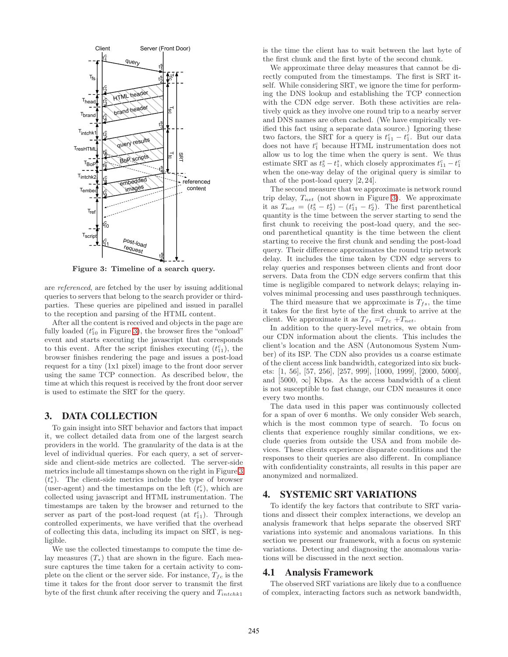

<span id="page-2-0"></span>Figure 3: Timeline of a search query.

are referenced, are fetched by the user by issuing additional queries to servers that belong to the search provider or thirdparties. These queries are pipelined and issued in parallel to the reception and parsing of the HTML content.

After all the content is received and objects in the page are fully loaded  $(t_{10}^c$  in Figure [3\)](#page-2-0), the browser fires the "onload" event and starts executing the javascript that corresponds to this event. After the script finishes executing  $(t_{11}^c)$ , the browser finishes rendering the page and issues a post-load request for a tiny (1x1 pixel) image to the front door server using the same TCP connection. As described below, the time at which this request is received by the front door server is used to estimate the SRT for the query.

# <span id="page-2-3"></span>**3. DATA COLLECTION**

To gain insight into SRT behavior and factors that impact it, we collect detailed data from one of the largest search providers in the world. The granularity of the data is at the level of individual queries. For each query, a set of serverside and client-side metrics are collected. The server-side metrics include all timestamps shown on the right in Figure [3](#page-2-0)  $(t_*^s)$ . The client-side metrics include the type of browser (user-agent) and the timestamps on the left  $(t_*^c)$ , which are collected using javascript and HTML instrumentation. The timestamps are taken by the browser and returned to the server as part of the post-load request (at  $t_{11}^c$ ). Through controlled experiments, we have verified that the overhead of collecting this data, including its impact on SRT, is negligible.

We use the collected timestamps to compute the time delay measures  $(T_*)$  that are shown in the figure. Each measure captures the time taken for a certain activity to complete on the client or the server side. For instance,  $T_{fc}$  is the time it takes for the front door server to transmit the first byte of the first chunk after receiving the query and  $T_{intchkl}$ 

is the time the client has to wait between the last byte of the first chunk and the first byte of the second chunk.

We approximate three delay measures that cannot be directly computed from the timestamps. The first is SRT itself. While considering SRT, we ignore the time for performing the DNS lookup and establishing the TCP connection with the CDN edge server. Both these activities are relatively quick as they involve one round trip to a nearby server and DNS names are often cached. (We have empirically verified this fact using a separate data source.) Ignoring these two factors, the SRT for a query is  $t_{11}^c - t_1^c$ . But our data does not have  $t_1^c$  because HTML instrumentation does not allow us to log the time when the query is sent. We thus estimate SRT as  $t_5^s - t_1^s$ , which closely approximates  $t_{11}^c - t_1^c$ when the one-way delay of the original query is similar to that of the post-load query [2, 24].

The second measure that we approximate is network round trip delay,  $T_{net}$  (not shown in Figure [3\)](#page-2-0). We approximate it as  $T_{net} = (t_5^s - t_2^s) - (t_{11}^c - t_2^c)$ . The first parenthetical quantity is the time between the server starting to send the first chunk to receiving the post-load query, and the second parenthetical quantity is the time between the client starting to receive the first chunk and sending the post-load query. Their difference approximates the round trip network delay. It includes the time taken by CDN edge servers to relay queries and responses between clients and front door servers. Data from the CDN edge servers confirm that this time is negligible compared to network delays; relaying involves minimal processing and uses passthrough techniques.

The third measure that we approximate is  $T_{fs}$ , the time it takes for the first byte of the first chunk to arrive at the client. We approximate it as  $T_{fs} = T_{fc} + T_{net}$ .

In addition to the query-level metrics, we obtain from our CDN information about the clients. This includes the client's location and the ASN (Autonomous System Number) of its ISP. The CDN also provides us a coarse estimate of the client access link bandwidth, categorized into six buckets: [1, 56], [57, 256], [257, 999], [1000, 1999], [2000, 5000], and [5000,  $\infty$ ] Kbps. As the access bandwidth of a client is not susceptible to fast change, our CDN measures it once every two months.

The data used in this paper was continuously collected for a span of over 6 months. We only consider Web search, which is the most common type of search. To focus on clients that experience roughly similar conditions, we exclude queries from outside the USA and from mobile devices. These clients experience disparate conditions and the responses to their queries are also different. In compliance with confidentiality constraints, all results in this paper are anonymized and normalized.

# <span id="page-2-2"></span>**4. SYSTEMIC SRT VARIATIONS**

To identify the key factors that contribute to SRT variations and dissect their complex interactions, we develop an analysis framework that helps separate the observed SRT variations into systemic and anomalous variations. In this section we present our framework, with a focus on systemic variations. Detecting and diagnosing the anomalous variations will be discussed in the next section.

### <span id="page-2-1"></span>**4.1 Analysis Framework**

The observed SRT variations are likely due to a confluence of complex, interacting factors such as network bandwidth,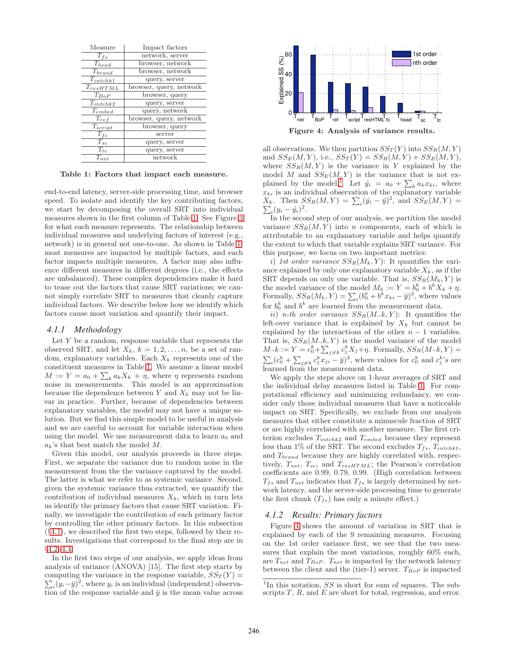| Measure                               | Impact factors          |
|---------------------------------------|-------------------------|
| $T_{fs}$                              | network, server         |
| $T_{head}$                            | browser, network        |
| $T_{brand}$                           | browser, network        |
| $T_{intchk1}$                         | query, server           |
| $\overline{T_{resH \underline{TML}}}$ | browser, query, network |
| $T_{BoP}$                             | browser, query          |
| $T_{intchk2}$                         | query, server           |
| $T_{embed}$                           | query, network          |
| $T_{ref}$                             | browser, query, network |
| $\overline{T_{script}}$               | browser, query          |
| fc                                    | server                  |
| $\overline{T}_{sc}$                   | query, server           |
| $T_{tc}$                              | query, server           |
| $T_{net}$                             | network                 |

<span id="page-3-0"></span>Table 1: Factors that impact each measure.

end-to-end latency, server-side processing time, and browser speed. To isolate and identify the key contributing factors, we start by decomposing the overall SRT into individual measures shown in the first column of Table [1.](#page-3-0) See Figure [3](#page-2-0) for what each measure represents. The relationship between individual measures and underlying factors of interest (e.g., network) is in general not one-to-one. As shown in Table [1,](#page-3-0) most measures are impacted by multiple factors, and each factor impacts multiple measures. A factor may also influence different measures in different degrees (i.e., the effects are unbalanced). These complex dependencies make it hard to tease out the factors that cause SRT variations; we cannot simply correlate SRT to measures that cleanly capture individual factors. We describe below how we identify which factors cause most variation and quantify their impact.

#### *4.1.1 Methodology*

Let  $Y$  be a random, response variable that represents the observed SRT, and let  $X_k$ ,  $k = 1, 2, ..., n$ , be a set of random, explanatory variables. Each  $X_k$  represents one of the constituent measures in Table [1.](#page-3-0) We assume a linear model  $M := Y = a_0 + \sum_k a_k X_k + \eta$ , where  $\eta$  represents random noise in measurements. This model is an approximation because the dependence between Y and  $X_k$  may not be linear in practice. Further, because of dependencies between explanatory variables, the model may not have a unique solution. But we find this simple model to be useful in analysis and we are careful to account for variable interaction when using the model. We use measurement data to learn  $a_0$  and  $a_k$ 's that best match the model M.

Given this model, our analysis proceeds in three steps. First, we separate the variance due to random noise in the measurement from the the variance captured by the model. The latter is what we refer to as systemic variance. Second, given the systemic variance thus extracted, we quantify the contribution of individual measures  $X_k$ , which in turn lets us identify the primary factors that cause SRT variation. Finally, we investigate the contribution of each primary factor by controlling the other primary factors. In this subsection  $(\S4.1)$  $(\S4.1)$ , we described the first two steps, followed by their results. Investigations that correspond to the final step are in  $§4.2–4.4.$  $§4.2–4.4.$  $§4.2–4.4.$ 

In the first two steps of our analysis, we apply ideas from analysis of variance (ANOVA) [15]. The first step starts by computing the variance in the response variable,  $SS_T(Y) =$  $\sum_i (\bar{y}_i - \bar{y})^2$ , where  $y_i$  is an individual (independent) observation of the response variable and  $\bar{y}$  is the mean value across



<span id="page-3-2"></span>all observations. We then partition  $SS_T(Y)$  into  $SS_R(M, Y)$ and  $SS_E(M, Y)$ , i.e.,  $SS_T(Y) = SS_R(M, Y) + SS_E(M, Y)$ , where  $SS_R(M, Y)$  is the variance in Y explained by the model M and  $SS_E(M, Y)$  is the variance that is not ex-plained by the model.<sup>[1](#page-3-1)</sup> Let  $\hat{y}_i = a_0 + \sum_k a_k x_{ki}$ , where  $x_{ki}$  is an individual observation of the explanatory variable  $X_k$ . Then  $SS_R(M, Y) = \sum_i (\hat{y_i} - \bar{y})^2$  $\sum$ , and  $SS_E(M, Y) =$  $_i(y_i - \hat{y}_i)^2$ .

In the second step of our analysis, we partition the model variance  $SS_R(M, Y)$  into n components, each of which is attributable to an explanatory variable and helps quantify the extent to which that variable explains SRT variance. For this purpose, we focus on two important metrics:

i) 1st order variance  $SS_R(M_k, Y)$ : It quantifies the variance explained by only one explanatory variable  $X_k$ , as if the SRT depends on only one variable. That is,  $SS_R(M_k, Y)$  is the model variance of the model  $M_k := Y = b_0^k + b^k X_k + \eta$ . Formally,  $SS_R(M_k, Y) = \sum_i (b_0^k + b^k x_{ki} - \bar{y})^2$ , where values for  $b_0^k$  and  $b^k$  are learned from the measurement data.

ii) n-th order variance  $SS_R(M_\neg k, Y)$ : It quantifies the left-over variance that is explained by  $X_k$  but cannot be explained by the interactions of the other  $n - 1$  variables. That is,  $SS_R(M_{\neg}k, Y)$  is the model variance of the model  $M_{\neg}k := Y = c_0^k + \sum_{j \neq k} c_j^k X_j + \eta$ . Formally,  $SS_R(M_{\neg}k, Y) =$  $\sum_i (c_0^k + \sum_{j \neq k} c_j^k x_{ji} - \bar{y})^2$ , where values for  $c_0^k$  and  $c_j^k$ 's are learned from the measurement data.

We apply the steps above on 1-hour averages of SRT and the individual delay measures listed in Table [1.](#page-3-0) For computational efficiency and minimizing redundancy, we consider only those individual measures that have a noticeable impact on SRT. Specifically, we exclude from our analysis measures that either constitute a minuscule fraction of SRT or are highly correlated with another measure. The first criterion excludes  $T_{intchk2}$  and  $T_{embed}$  because they represent less than 1% of the SRT. The second excludes  $T_{fs}$ ,  $T_{intchkl1}$ , and  $T_{brand}$  because they are highly correlated with, respectively,  $T_{net}$ ,  $T_{sc}$ , and  $T_{resHTML}$ ; the Pearson's correlation coefficients are 0.99, 0.79, 0.99. (High correlation between  $T_{fs}$  and  $T_{net}$  indicates that  $T_{fs}$  is largely determined by network latency, and the server-side processing time to generate the first chunk  $(T_{fc})$  has only a minute effect.)

## *4.1.2 Results: Primary factors*

Figure [4](#page-3-2) shows the amount of variation in SRT that is explained by each of the 9 remaining measures. Focusing on the 1st order variance first, we see that the two measures that explain the most variations, roughly 60% each, are  $T_{net}$  and  $T_{BoP}$ .  $T_{net}$  is impacted by the network latency between the client and the (tier-1) server.  $T_{BoP}$  is impacted

<span id="page-3-1"></span><sup>&</sup>lt;sup>1</sup>In this notation,  $SS$  is short for sum of squares. The subscripts  $T$ ,  $R$ , and  $E$  are short for total, regression, and error.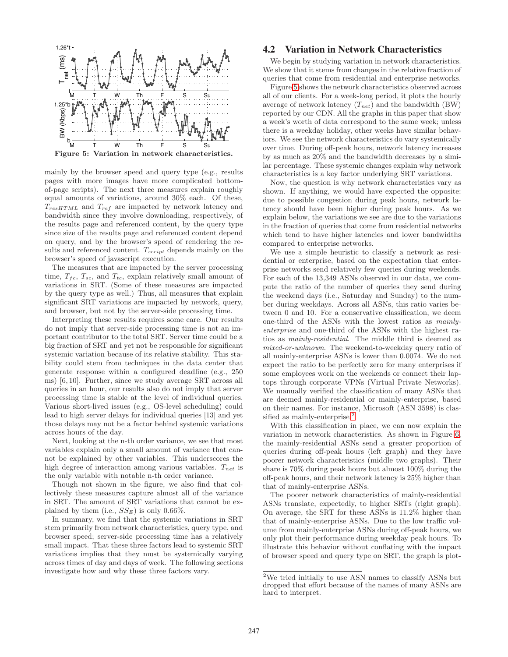

<span id="page-4-1"></span>mainly by the browser speed and query type (e.g., results pages with more images have more complicated bottomof-page scripts). The next three measures explain roughly equal amounts of variations, around 30% each. Of these,  $T_{resHTML}$  and  $T_{ref}$  are impacted by network latency and bandwidth since they involve downloading, respectively, of the results page and referenced content, by the query type since size of the results page and referenced content depend on query, and by the browser's speed of rendering the results and referenced content.  $T_{script}$  depends mainly on the browser's speed of javascript execution.

The measures that are impacted by the server processing time,  $T_{fc}$ ,  $T_{sc}$ , and  $T_{tc}$ , explain relatively small amount of variations in SRT. (Some of these measures are impacted by the query type as well.) Thus, all measures that explain significant SRT variations are impacted by network, query, and browser, but not by the server-side processing time.

Interpreting these results requires some care. Our results do not imply that server-side processing time is not an important contributor to the total SRT. Server time could be a big fraction of SRT and yet not be responsible for significant systemic variation because of its relative stability. This stability could stem from techniques in the data center that generate response within a configured deadline (e.g., 250 ms) [6, 10]. Further, since we study average SRT across all queries in an hour, our results also do not imply that server processing time is stable at the level of individual queries. Various short-lived issues (e.g., OS-level scheduling) could lead to high server delays for individual queries [13] and yet those delays may not be a factor behind systemic variations across hours of the day.

Next, looking at the n-th order variance, we see that most variables explain only a small amount of variance that cannot be explained by other variables. This underscores the high degree of interaction among various variables.  $T_{net}$  is the only variable with notable n-th order variance.

Though not shown in the figure, we also find that collectively these measures capture almost all of the variance in SRT. The amount of SRT variations that cannot be explained by them (i.e.,  $SS_E$ ) is only 0.66%.

In summary, we find that the systemic variations in SRT stem primarily from network characteristics, query type, and browser speed; server-side processing time has a relatively small impact. That these three factors lead to systemic SRT variations implies that they must be systemically varying across times of day and days of week. The following sections investigate how and why these three factors vary.

# <span id="page-4-0"></span>**4.2 Variation in Network Characteristics**

We begin by studying variation in network characteristics. We show that it stems from changes in the relative fraction of queries that come from residential and enterprise networks.

Figure [5](#page-4-1) shows the network characteristics observed across all of our clients. For a week-long period, it plots the hourly average of network latency  $(T_{net})$  and the bandwidth (BW) reported by our CDN. All the graphs in this paper that show a week's worth of data correspond to the same week; unless there is a weekday holiday, other weeks have similar behaviors. We see the network characteristics do vary systemically over time. During off-peak hours, network latency increases by as much as 20% and the bandwidth decreases by a similar percentage. These systemic changes explain why network characteristics is a key factor underlying SRT variations.

Now, the question is why network characteristics vary as shown. If anything, we would have expected the opposite: due to possible congestion during peak hours, network latency should have been higher during peak hours. As we explain below, the variations we see are due to the variations in the fraction of queries that come from residential networks which tend to have higher latencies and lower bandwidths compared to enterprise networks.

We use a simple heuristic to classify a network as residential or enterprise, based on the expectation that enterprise networks send relatively few queries during weekends. For each of the 13,349 ASNs observed in our data, we compute the ratio of the number of queries they send during the weekend days (i.e., Saturday and Sunday) to the number during weekdays. Across all ASNs, this ratio varies between 0 and 10. For a conservative classification, we deem one-third of the ASNs with the lowest ratios as mainlyenterprise and one-third of the ASNs with the highest ratios as mainly-residential. The middle third is deemed as mixed-or-unknown. The weekend-to-weekday query ratio of all mainly-enterprise ASNs is lower than 0.0074. We do not expect the ratio to be perfectly zero for many enterprises if some employees work on the weekends or connect their laptops through corporate VPNs (Virtual Private Networks). We manually verified the classification of many ASNs that are deemed mainly-residential or mainly-enterprise, based on their names. For instance, Microsoft (ASN 3598) is clas-sified as mainly-enterprise.<sup>[2](#page-4-2)</sup>

With this classification in place, we can now explain the variation in network characteristics. As shown in Figure [6,](#page-5-1) the mainly-residential ASNs send a greater proportion of queries during off-peak hours (left graph) and they have poorer network characteristics (middle two graphs). Their share is 70% during peak hours but almost 100% during the off-peak hours, and their network latency is 25% higher than that of mainly-enterprise ASNs.

The poorer network characteristics of mainly-residential ASNs translate, expectedly, to higher SRTs (right graph). On average, the SRT for these ASNs is 11.2% higher than that of mainly-enterprise ASNs. Due to the low traffic volume from mainly-enterprise ASNs during off-peak hours, we only plot their performance during weekday peak hours. To illustrate this behavior without conflating with the impact of browser speed and query type on SRT, the graph is plot-

<span id="page-4-2"></span> $^{2}\mathrm{We}$  tried initially to use ASN names to classify ASNs but dropped that effort because of the names of many ASNs are hard to interpret.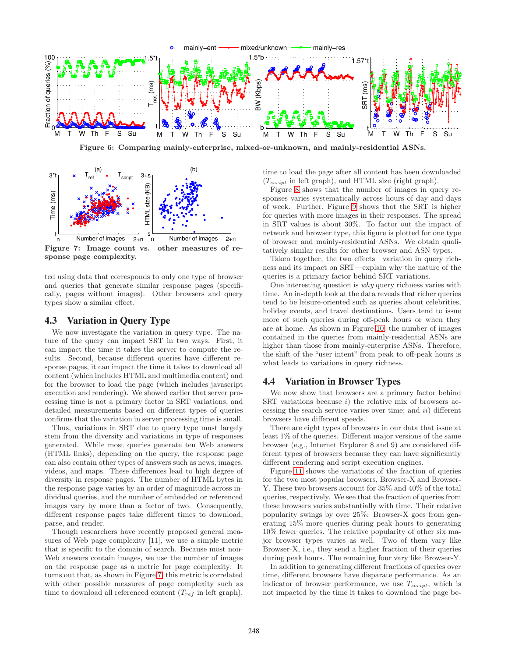

<span id="page-5-1"></span>Figure 6: Comparing mainly-enterprise, mixed-or-unknown, and mainly-residential ASNs.



<span id="page-5-2"></span>Figure 7: Image count vs. other measures of response page complexity.

ted using data that corresponds to only one type of browser and queries that generate similar response pages (specifically, pages without images). Other browsers and query types show a similar effect.

# **4.3 Variation in Query Type**

We now investigate the variation in query type. The nature of the query can impact SRT in two ways. First, it can impact the time it takes the server to compute the results. Second, because different queries have different response pages, it can impact the time it takes to download all content (which includes HTML and multimedia content) and for the browser to load the page (which includes javascript execution and rendering). We showed earlier that server processing time is not a primary factor in SRT variations, and detailed measurements based on different types of queries confirms that the variation in server processing time is small.

Thus, variations in SRT due to query type must largely stem from the diversity and variations in type of responses generated. While most queries generate ten Web answers (HTML links), depending on the query, the response page can also contain other types of answers such as news, images, videos, and maps. These differences lead to high degree of diversity in response pages. The number of HTML bytes in the response page varies by an order of magnitude across individual queries, and the number of embedded or referenced images vary by more than a factor of two. Consequently, different response pages take different times to download, parse, and render.

Though researchers have recently proposed general measures of Web page complexity [11], we use a simple metric that is specific to the domain of search. Because most non-Web answers contain images, we use the number of images on the response page as a metric for page complexity. It turns out that, as shown in Figure [7,](#page-5-2) this metric is correlated with other possible measures of page complexity such as time to download all referenced content  $(T_{ref}$  in left graph),

time to load the page after all content has been downloaded  $(T_{script}$  in left graph), and HTML size (right graph).

Figure [8](#page-6-0) shows that the number of images in query responses varies systematically across hours of day and days of week. Further, Figure [9](#page-6-1) shows that the SRT is higher for queries with more images in their responses. The spread in SRT values is about 30%. To factor out the impact of network and browser type, this figure is plotted for one type of browser and mainly-residential ASNs. We obtain qualitatively similar results for other browser and ASN types.

Taken together, the two effects—variation in query richness and its impact on SRT—explain why the nature of the queries is a primary factor behind SRT variations.

One interesting question is why query richness varies with time. An in-depth look at the data reveals that richer queries tend to be leisure-oriented such as queries about celebrities, holiday events, and travel destinations. Users tend to issue more of such queries during off-peak hours or when they are at home. As shown in Figure [10,](#page-6-2) the number of images contained in the queries from mainly-residential ASNs are higher than those from mainly-enterprise ASNs. Therefore, the shift of the "user intent" from peak to off-peak hours is what leads to variations in query richness.

# <span id="page-5-0"></span>**4.4 Variation in Browser Types**

We now show that browsers are a primary factor behind SRT variations because  $i$ ) the relative mix of browsers accessing the search service varies over time; and  $ii)$  different browsers have different speeds.

There are eight types of browsers in our data that issue at least  $1\%$  of the queries. Different major versions of the same browser (e.g., Internet Explorer 8 and 9) are considered different types of browsers because they can have significantly different rendering and script execution engines.

Figure [11](#page-6-3) shows the variations of the fraction of queries for the two most popular browsers, Browser-X and Browser-Y. These two browsers account for 35% and 40% of the total queries, respectively. We see that the fraction of queries from these browsers varies substantially with time. Their relative popularity swings by over 25%: Browser-X goes from generating 15% more queries during peak hours to generating 10% fewer queries. The relative popularity of other six major browser types varies as well. Two of them vary like Browser-X, i.e., they send a higher fraction of their queries during peak hours. The remaining four vary like Browser-Y.

In addition to generating different fractions of queries over time, different browsers have disparate performance. As an indicator of browser performance, we use  $T_{script}$ , which is not impacted by the time it takes to download the page be-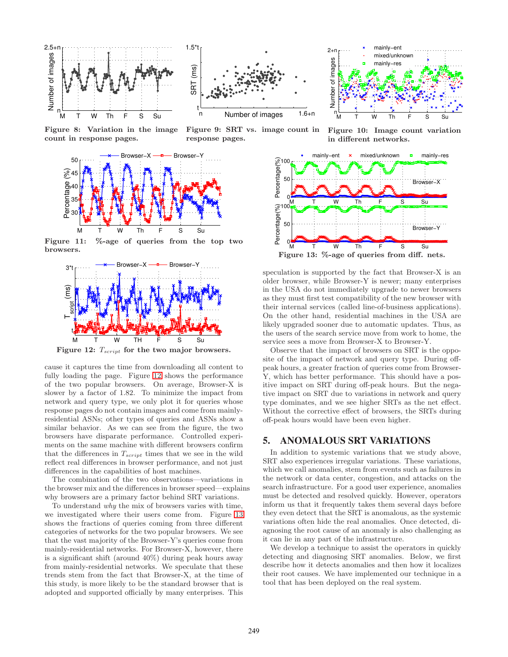

Figure 8: Variation in the image count in response pages.

<span id="page-6-1"></span>Figure 9: SRT vs. image count in response pages.

<span id="page-6-0"></span>

Figure 11: %-age of queries from the top two browsers.

<span id="page-6-3"></span>

<span id="page-6-4"></span>Figure 12:  $T_{script}$  for the two major browsers.

cause it captures the time from downloading all content to fully loading the page. Figure [12](#page-6-4) shows the performance of the two popular browsers. On average, Browser-X is slower by a factor of 1.82. To minimize the impact from network and query type, we only plot it for queries whose response pages do not contain images and come from mainlyresidential ASNs; other types of queries and ASNs show a similar behavior. As we can see from the figure, the two browsers have disparate performance. Controlled experiments on the same machine with different browsers confirm that the differences in  $T_{script}$  times that we see in the wild reflect real differences in browser performance, and not just differences in the capabilities of host machines.

The combination of the two observations—variations in the browser mix and the differences in browser speed—explains why browsers are a primary factor behind SRT variations.

To understand why the mix of browsers varies with time, we investigated where their users come from. Figure [13](#page-6-5) shows the fractions of queries coming from three different categories of networks for the two popular browsers. We see that the vast majority of the Browser-Y's queries come from mainly-residential networks. For Browser-X, however, there is a significant shift (around 40%) during peak hours away from mainly-residential networks. We speculate that these trends stem from the fact that Browser-X, at the time of this study, is more likely to be the standard browser that is adopted and supported officially by many enterprises. This

<span id="page-6-2"></span>Figure 10: Image count variation in different networks.



<span id="page-6-5"></span>speculation is supported by the fact that Browser-X is an older browser, while Browser-Y is newer; many enterprises in the USA do not immediately upgrade to newer browsers as they must first test compatibility of the new browser with their internal services (called line-of-business applications). On the other hand, residential machines in the USA are likely upgraded sooner due to automatic updates. Thus, as the users of the search service move from work to home, the service sees a move from Browser-X to Browser-Y.

Observe that the impact of browsers on SRT is the opposite of the impact of network and query type. During offpeak hours, a greater fraction of queries come from Browser-Y, which has better performance. This should have a positive impact on SRT during off-peak hours. But the negative impact on SRT due to variations in network and query type dominates, and we see higher SRTs as the net effect. Without the corrective effect of browsers, the SRTs during off-peak hours would have been even higher.

# **5. ANOMALOUS SRT VARIATIONS**

In addition to systemic variations that we study above, SRT also experiences irregular variations. These variations, which we call anomalies, stem from events such as failures in the network or data center, congestion, and attacks on the search infrastructure. For a good user experience, anomalies must be detected and resolved quickly. However, operators inform us that it frequently takes them several days before they even detect that the SRT is anomalous, as the systemic variations often hide the real anomalies. Once detected, diagnosing the root cause of an anomaly is also challenging as it can lie in any part of the infrastructure.

We develop a technique to assist the operators in quickly detecting and diagnosing SRT anomalies. Below, we first describe how it detects anomalies and then how it localizes their root causes. We have implemented our technique in a tool that has been deployed on the real system.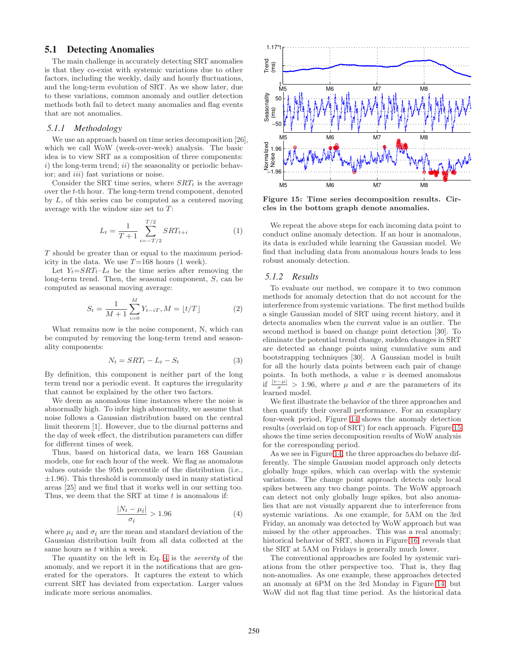# **5.1 Detecting Anomalies**

The main challenge in accurately detecting SRT anomalies is that they co-exist with systemic variations due to other factors, including the weekly, daily and hourly fluctuations, and the long-term evolution of SRT. As we show later, due to these variations, common anomaly and outlier detection methods both fail to detect many anomalies and flag events that are not anomalies.

#### *5.1.1 Methodology*

We use an approach based on time series decomposition [26], which we call WoW (week-over-week) analysis. The basic idea is to view SRT as a composition of three components: i) the long-term trend; ii) the seasonality or periodic behavior; and *iii*) fast variations or noise.

Consider the SRT time series, where  $SRT_t$  is the average over the t-th hour. The long-term trend component, denoted by  $L$ , of this series can be computed as a centered moving average with the window size set to T:

$$
L_t = \frac{1}{T+1} \sum_{i=-T/2}^{T/2} SRT_{t+i}
$$
 (1)

T should be greater than or equal to the maximum periodicity in the data. We use  $T=168$  hours (1 week).

Let  $Y_t = SRT_t - L_t$  be the time series after removing the long-term trend. Then, the seasonal component, S, can be computed as seasonal moving average:

$$
S_t = \frac{1}{M+1} \sum_{i=0}^{M} Y_{t-iT}, M = \lfloor t/T \rfloor
$$
 (2)

What remains now is the noise component, N, which can be computed by removing the long-term trend and seasonality components:

$$
N_t = SRT_t - L_t - S_t \tag{3}
$$

By definition, this component is neither part of the long term trend nor a periodic event. It captures the irregularity that cannot be explained by the other two factors.

We deem as anomalous time instances where the noise is abnormally high. To infer high abnormality, we assume that noise follows a Gaussian distribution based on the central limit theorem [1]. However, due to the diurnal patterns and the day of week effect, the distribution parameters can differ for different times of week.

Thus, based on historical data, we learn 168 Gaussian models, one for each hour of the week. We flag as anomalous values outside the 95th percentile of the distribution (i.e.,  $\pm 1.96$ ). This threshold is commonly used in many statistical areas [25] and we find that it works well in our setting too. Thus, we deem that the SRT at time  $t$  is anomalous if:

<span id="page-7-0"></span>
$$
\frac{|N_t - \mu_{\hat{t}}|}{\sigma_{\hat{t}}} > 1.96 \tag{4}
$$

where  $\mu_{\hat{t}}$  and  $\sigma_{\hat{t}}$  are the mean and standard deviation of the Gaussian distribution built from all data collected at the same hours as t within a week.

The quantity on the left in Eq. [4](#page-7-0) is the severity of the anomaly, and we report it in the notifications that are generated for the operators. It captures the extent to which current SRT has deviated from expectation. Larger values indicate more serious anomalies.



<span id="page-7-1"></span>Figure 15: Time series decomposition results. Circles in the bottom graph denote anomalies.

We repeat the above steps for each incoming data point to conduct online anomaly detection. If an hour is anomalous, its data is excluded while learning the Gaussian model. We find that including data from anomalous hours leads to less robust anomaly detection.

#### *5.1.2 Results*

To evaluate our method, we compare it to two common methods for anomaly detection that do not account for the interference from systemic variations. The first method builds a single Gaussian model of SRT using recent history, and it detects anomalies when the current value is an outlier. The second method is based on change point detection [30]. To eliminate the potential trend change, sudden changes in SRT are detected as change points using cumulative sum and bootstrapping techniques [30]. A Gaussian model is built for all the hourly data points between each pair of change points. In both methods, a value  $v$  is deemed anomalous if  $\frac{|v-\mu|}{\sigma} > 1.96$ , where  $\mu$  and  $\sigma$  are the parameters of its learned model.

We first illustrate the behavior of the three approaches and then quantify their overall performance. For an examplary four-week period, Figure [14](#page-8-0) shows the anomaly detection results (overlaid on top of SRT) for each approach. Figure [15](#page-7-1) shows the time series decomposition results of WoW analysis for the corresponding period.

As we see in Figure [14,](#page-8-0) the three approaches do behave differently. The simple Gaussian model approach only detects globally huge spikes, which can overlap with the systemic variations. The change point approach detects only local spikes between any two change points. The WoW approach can detect not only globally huge spikes, but also anomalies that are not visually apparent due to interference from systemic variations. As one example, for 5AM on the 3rd Friday, an anomaly was detected by WoW approach but was missed by the other approaches. This was a real anomaly; historical behavior of SRT, shown in Figure [16,](#page-8-1) reveals that the SRT at 5AM on Fridays is generally much lower.

The conventional approaches are fooled by systemic variations from the other perspective too. That is, they flag non-anomalies. As one example, these approaches detected an anomaly at 6PM on the 3rd Monday in Figure [14,](#page-8-0) but WoW did not flag that time period. As the historical data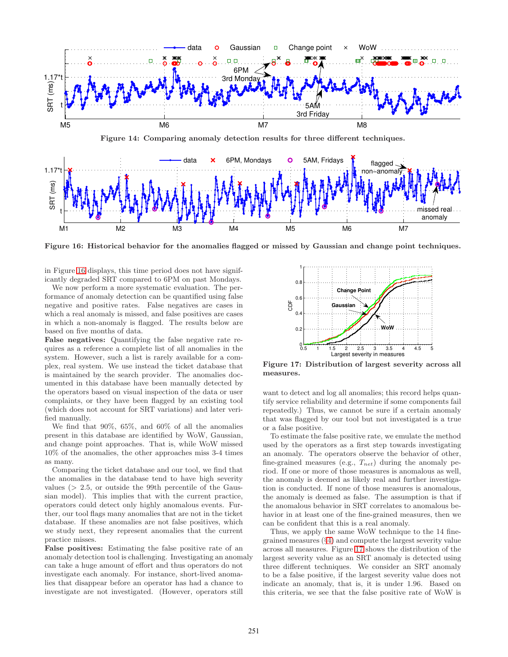

<span id="page-8-0"></span>Figure 14: Comparing anomaly detection results for three different techniques.



<span id="page-8-1"></span>Figure 16: Historical behavior for the anomalies flagged or missed by Gaussian and change point techniques.

in Figure [16](#page-8-1) displays, this time period does not have significantly degraded SRT compared to 6PM on past Mondays.

We now perform a more systematic evaluation. The performance of anomaly detection can be quantified using false negative and positive rates. False negatives are cases in which a real anomaly is missed, and false positives are cases in which a non-anomaly is flagged. The results below are based on five months of data.

False negatives: Quantifying the false negative rate requires as a reference a complete list of all anomalies in the system. However, such a list is rarely available for a complex, real system. We use instead the ticket database that is maintained by the search provider. The anomalies documented in this database have been manually detected by the operators based on visual inspection of the data or user complaints, or they have been flagged by an existing tool (which does not account for SRT variations) and later verified manually.

We find that 90%, 65%, and 60% of all the anomalies present in this database are identified by WoW, Gaussian, and change point approaches. That is, while WoW missed 10% of the anomalies, the other approaches miss 3-4 times as many.

Comparing the ticket database and our tool, we find that the anomalies in the database tend to have high severity values ( $> 2.5$ , or outside the 99th percentile of the Gaussian model). This implies that with the current practice, operators could detect only highly anomalous events. Further, our tool flags many anomalies that are not in the ticket database. If these anomalies are not false positives, which we study next, they represent anomalies that the current practice misses.

False positives: Estimating the false positive rate of an anomaly detection tool is challenging. Investigating an anomaly can take a huge amount of effort and thus operators do not investigate each anomaly. For instance, short-lived anomalies that disappear before an operator has had a chance to investigate are not investigated. (However, operators still



<span id="page-8-2"></span>Figure 17: Distribution of largest severity across all measures.

want to detect and log all anomalies; this record helps quantify service reliability and determine if some components fail repeatedly.) Thus, we cannot be sure if a certain anomaly that was flagged by our tool but not investigated is a true or a false positive.

To estimate the false positive rate, we emulate the method used by the operators as a first step towards investigating an anomaly. The operators observe the behavior of other, fine-grained measures (e.g.,  $T_{net}$ ) during the anomaly period. If one or more of those measures is anomalous as well, the anomaly is deemed as likely real and further investigation is conducted. If none of those measures is anomalous, the anomaly is deemed as false. The assumption is that if the anomalous behavior in SRT correlates to anomalous behavior in at least one of the fine-grained measures, then we can be confident that this is a real anomaly.

Thus, we apply the same WoW technique to the 14 finegrained measures (§[4\)](#page-2-2) and compute the largest severity value across all measures. Figure [17](#page-8-2) shows the distribution of the largest severity value as an SRT anomaly is detected using three different techniques. We consider an SRT anomaly to be a false positive, if the largest severity value does not indicate an anomaly, that is, it is under 1.96. Based on this criteria, we see that the false positive rate of WoW is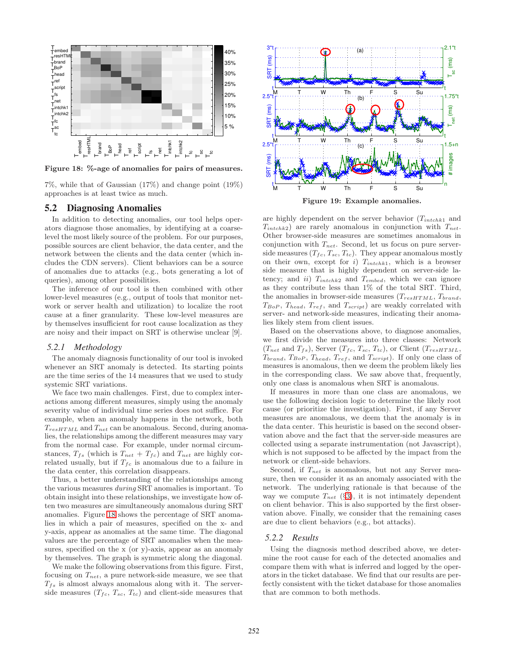

<span id="page-9-0"></span>Figure 18: %-age of anomalies for pairs of measures.

7%, while that of Gaussian (17%) and change point (19%) approaches is at least twice as much.

# **5.2 Diagnosing Anomalies**

In addition to detecting anomalies, our tool helps operators diagnose those anomalies, by identifying at a coarselevel the most likely source of the problem. For our purposes, possible sources are client behavior, the data center, and the network between the clients and the data center (which includes the CDN servers). Client behaviors can be a source of anomalies due to attacks (e.g., bots generating a lot of queries), among other possibilities.

The inference of our tool is then combined with other lower-level measures (e.g., output of tools that monitor network or server health and utilization) to localize the root cause at a finer granularity. These low-level measures are by themselves insufficient for root cause localization as they are noisy and their impact on SRT is otherwise unclear [9].

#### *5.2.1 Methodology*

The anomaly diagnosis functionality of our tool is invoked whenever an SRT anomaly is detected. Its starting points are the time series of the 14 measures that we used to study systemic SRT variations.

We face two main challenges. First, due to complex interactions among different measures, simply using the anomaly severity value of individual time series does not suffice. For example, when an anomaly happens in the network, both  $T_{resHTML}$  and  $T_{net}$  can be anomalous. Second, during anomalies, the relationships among the different measures may vary from the normal case. For example, under normal circumstances,  $T_{fs}$  (which is  $T_{net} + T_{fc}$ ) and  $T_{net}$  are highly correlated usually, but if  $T_{fc}$  is anomalous due to a failure in the data center, this correlation disappears.

Thus, a better understanding of the relationships among the various measures during SRT anomalies is important. To obtain insight into these relationships, we investigate how often two measures are simultaneously anomalous during SRT anomalies. Figure [18](#page-9-0) shows the percentage of SRT anomalies in which a pair of measures, specified on the x- and y-axis, appear as anomalies at the same time. The diagonal values are the percentage of SRT anomalies when the measures, specified on the x (or y)-axis, appear as an anomaly by themselves. The graph is symmetric along the diagonal.

We make the following observations from this figure. First, focusing on  $T_{net}$ , a pure network-side measure, we see that  $T_{fs}$  is almost always anomalous along with it. The serverside measures  $(T_{fc}, T_{sc}, T_{tc})$  and client-side measures that



<span id="page-9-1"></span>are highly dependent on the server behavior  $(T_{intchk1}$  and  $T_{intchk2}$  are rarely anomalous in conjunction with  $T_{net}$ . Other browser-side measures are sometimes anomalous in conjunction with  $T_{net}$ . Second, let us focus on pure serverside measures  $(T_{fc}, T_{sc}, T_{tc})$ . They appear anomalous mostly on their own, except for i)  $T_{intchk1}$ , which is a browser side measure that is highly dependent on server-side latency; and ii)  $T_{intchk2}$  and  $T_{embed}$ , which we can ignore as they contribute less than 1% of the total SRT. Third, the anomalies in browser-side measures  $(T_{resHTML}, T_{brand},$  $T_{BoP}, T_{head}, T_{ref},$  and  $T_{script}$  are weakly correlated with server- and network-side measures, indicating their anomalies likely stem from client issues.

Based on the observations above, to diagnose anomalies, we first divide the measures into three classes: Network  $(T_{net} \text{ and } T_{fs}),$  Server  $(T_{fc}, T_{sc}, T_{tc}),$  or Client  $(T_{resHTML},$  $T_{brand}$ ,  $T_{BoP}$ ,  $T_{head}$ ,  $T_{ref}$ , and  $T_{script}$ ). If only one class of measures is anomalous, then we deem the problem likely lies in the corresponding class. We saw above that, frequently, only one class is anomalous when SRT is anomalous.

If measures in more than one class are anomalous, we use the following decision logic to determine the likely root cause (or prioritize the investigation). First, if any Server measures are anomalous, we deem that the anomaly is in the data center. This heuristic is based on the second observation above and the fact that the server-side measures are collected using a separate instrumentation (not Javascript), which is not supposed to be affected by the impact from the network or client-side behaviors.

Second, if  $T_{net}$  is anomalous, but not any Server measure, then we consider it as an anomaly associated with the network. The underlying rationale is that because of the way we compute  $T_{net}$  (§[3\)](#page-2-3), it is not intimately dependent on client behavior. This is also supported by the first observation above. Finally, we consider that the remaining cases are due to client behaviors (e.g., bot attacks).

#### *5.2.2 Results*

Using the diagnosis method described above, we determine the root cause for each of the detected anomalies and compare them with what is inferred and logged by the operators in the ticket database. We find that our results are perfectly consistent with the ticket database for those anomalies that are common to both methods.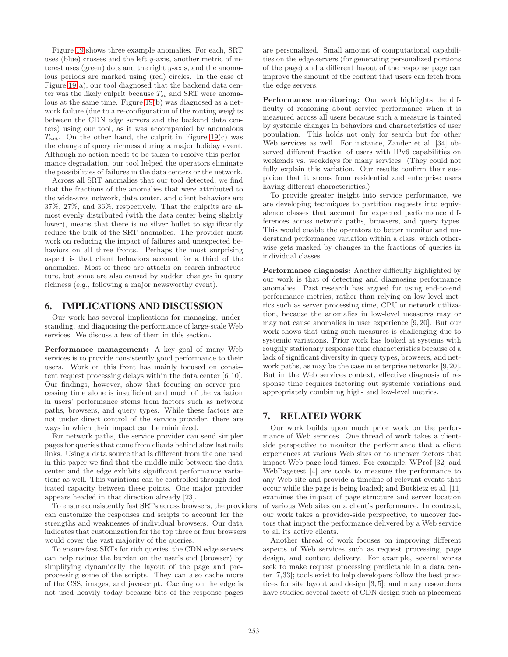Figure [19](#page-9-1) shows three example anomalies. For each, SRT uses (blue) crosses and the left  $y$ -axis, another metric of interest uses (green) dots and the right y-axis, and the anomalous periods are marked using (red) circles. In the case of Figure [19\(](#page-9-1)a), our tool diagnosed that the backend data center was the likely culprit because  $T_{sc}$  and SRT were anomalous at the same time. Figure [19\(](#page-9-1)b) was diagnosed as a network failure (due to a re-configuration of the routing weights between the CDN edge servers and the backend data centers) using our tool, as it was accompanied by anomalous  $T_{net}$ . On the other hand, the culprit in Figure [19\(](#page-9-1)c) was the change of query richness during a major holiday event. Although no action needs to be taken to resolve this performance degradation, our tool helped the operators eliminate the possibilities of failures in the data centers or the network.

Across all SRT anomalies that our tool detected, we find that the fractions of the anomalies that were attributed to the wide-area network, data center, and client behaviors are 37%, 27%, and 36%, respectively. That the culprits are almost evenly distributed (with the data center being slightly lower), means that there is no silver bullet to significantly reduce the bulk of the SRT anomalies. The provider must work on reducing the impact of failures and unexpected behaviors on all three fronts. Perhaps the most surprising aspect is that client behaviors account for a third of the anomalies. Most of these are attacks on search infrastructure, but some are also caused by sudden changes in query richness (e.g., following a major newsworthy event).

# **6. IMPLICATIONS AND DISCUSSION**

Our work has several implications for managing, understanding, and diagnosing the performance of large-scale Web services. We discuss a few of them in this section.

Performance management: A key goal of many Web services is to provide consistently good performance to their users. Work on this front has mainly focused on consistent request processing delays within the data center [6, 10]. Our findings, however, show that focusing on server processing time alone is insufficient and much of the variation in users' performance stems from factors such as network paths, browsers, and query types. While these factors are not under direct control of the service provider, there are ways in which their impact can be minimized.

For network paths, the service provider can send simpler pages for queries that come from clients behind slow last mile links. Using a data source that is different from the one used in this paper we find that the middle mile between the data center and the edge exhibits significant performance variations as well. This variations can be controlled through dedicated capacity between these points. One major provider appears headed in that direction already [23].

To ensure consistently fast SRTs across browsers, the providers can customize the responses and scripts to account for the strengths and weaknesses of individual browsers. Our data indicates that customization for the top three or four browsers would cover the vast majority of the queries.

To ensure fast SRTs for rich queries, the CDN edge servers can help reduce the burden on the user's end (browser) by simplifying dynamically the layout of the page and preprocessing some of the scripts. They can also cache more of the CSS, images, and javascript. Caching on the edge is not used heavily today because bits of the response pages

are personalized. Small amount of computational capabilities on the edge servers (for generating personalized portions of the page) and a different layout of the response page can improve the amount of the content that users can fetch from the edge servers.

Performance monitoring: Our work highlights the difficulty of reasoning about service performance when it is measured across all users because such a measure is tainted by systemic changes in behaviors and characteristics of user population. This holds not only for search but for other Web services as well. For instance, Zander et al. [34] observed different fraction of users with IPv6 capabilities on weekends vs. weekdays for many services. (They could not fully explain this variation. Our results confirm their suspicion that it stems from residential and enterprise users having different characteristics.)

To provide greater insight into service performance, we are developing techniques to partition requests into equivalence classes that account for expected performance differences across network paths, browsers, and query types. This would enable the operators to better monitor and understand performance variation within a class, which otherwise gets masked by changes in the fractions of queries in individual classes.

Performance diagnosis: Another difficulty highlighted by our work is that of detecting and diagnosing performance anomalies. Past research has argued for using end-to-end performance metrics, rather than relying on low-level metrics such as server processing time, CPU or network utilization, because the anomalies in low-level measures may or may not cause anomalies in user experience [9, 20]. But our work shows that using such measures is challenging due to systemic variations. Prior work has looked at systems with roughly stationary response time characteristics because of a lack of significant diversity in query types, browsers, and network paths, as may be the case in enterprise networks [9,20]. But in the Web services context, effective diagnosis of response time requires factoring out systemic variations and appropriately combining high- and low-level metrics.

# **7. RELATED WORK**

Our work builds upon much prior work on the performance of Web services. One thread of work takes a clientside perspective to monitor the performance that a client experiences at various Web sites or to uncover factors that impact Web page load times. For example, WProf [32] and WebPagetest [4] are tools to measure the performance to any Web site and provide a timeline of relevant events that occur while the page is being loaded; and Butkietz et al. [11] examines the impact of page structure and server location of various Web sites on a client's performance. In contrast, our work takes a provider-side perspective, to uncover factors that impact the performance delivered by a Web service to all its active clients.

Another thread of work focuses on improving different aspects of Web services such as request processing, page design, and content delivery. For example, several works seek to make request processing predictable in a data center [7,33]; tools exist to help developers follow the best practices for site layout and design [3, 5]; and many researchers have studied several facets of CDN design such as placement